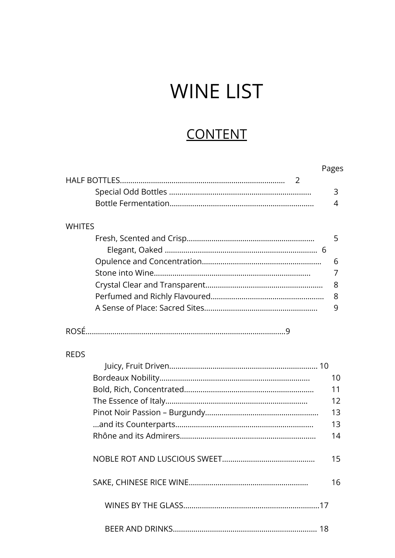# WINE LIST

## **CONTENT**

|               | Pages |
|---------------|-------|
|               |       |
|               | 3     |
|               | 4     |
|               |       |
| <b>WHITES</b> |       |
|               | 5     |
|               |       |
|               | 6     |
|               | 7     |
|               | 8     |
|               | 8     |
|               | 9     |
|               |       |
|               |       |
|               |       |
| <b>REDS</b>   |       |
|               |       |
|               | 10    |
|               | 11    |
|               | 12    |
|               | 13    |
|               | 13    |
|               | 14    |
|               |       |
|               | 15    |
|               |       |
|               | 16    |
|               |       |
|               |       |
|               |       |
|               |       |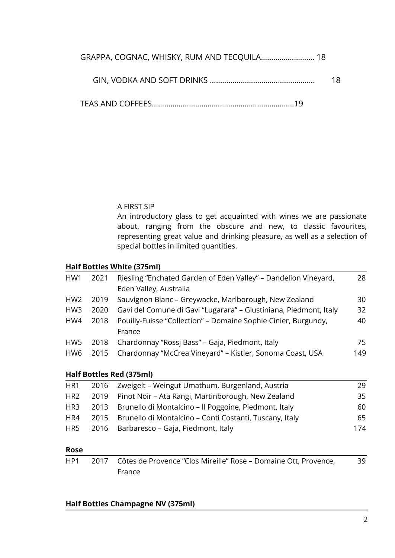| GRAPPA, COGNAC, WHISKY, RUM AND TECQUILA 18 |    |
|---------------------------------------------|----|
|                                             | 18 |

TEAS AND COFFEES……………………………………………………………19

#### A FIRST SIP

An introductory glass to get acquainted with wines we are passionate about, ranging from the obscure and new, to classic favourites, representing great value and drinking pleasure, as well as a selection of special bottles in limited quantities.

#### **Half Bottles White (375ml)**

| HW1             | 2021 | Riesling "Enchated Garden of Eden Valley" - Dandelion Vineyard,   | 28  |
|-----------------|------|-------------------------------------------------------------------|-----|
|                 |      | Eden Valley, Australia                                            |     |
| HW <sub>2</sub> | 2019 | Sauvignon Blanc – Greywacke, Marlborough, New Zealand             | 30  |
| HW <sub>3</sub> | 2020 | Gavi del Comune di Gavi "Lugarara" - Giustiniana, Piedmont, Italy | 32  |
| HW4             | 2018 | Pouilly-Fuisse "Collection" - Domaine Sophie Cinier, Burgundy,    | 40  |
|                 |      | France                                                            |     |
| HW5             | 2018 | Chardonnay "Rossi Bass" - Gaja, Piedmont, Italy                   | 75  |
| HW <sub>6</sub> | 2015 | Chardonnay "McCrea Vineyard" - Kistler, Sonoma Coast, USA         | 149 |
|                 |      |                                                                   |     |

#### **Half Bottles Red (375ml)**

| HR1             | 2016 Zweigelt - Weingut Umathum, Burgenland, Austria         | 29  |
|-----------------|--------------------------------------------------------------|-----|
| HR <sub>2</sub> | 2019 Pinot Noir - Ata Rangi, Martinborough, New Zealand      | 35. |
| HR3             | 2013 Brunello di Montalcino – Il Poggoine, Piedmont, Italy   | 60  |
| HR4             | 2015 Brunello di Montalcino – Conti Costanti, Tuscany, Italy | 65  |
| HR5             | 2016 Barbaresco – Gaja, Piedmont, Italy                      | 174 |

#### **Rose**

| HP1 | 2017 Côtes de Provence "Clos Mireille" Rose – Domaine Ott, Provence, | 39 |
|-----|----------------------------------------------------------------------|----|
|     | France                                                               |    |

#### **Half Bottles Champagne NV (375ml)**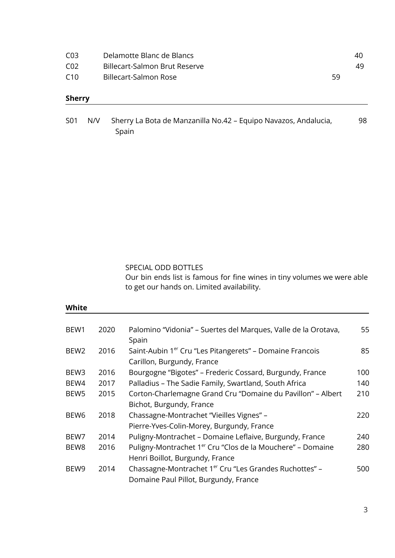| C <sub>03</sub> | Delamotte Blanc de Blancs     |    | 40  |
|-----------------|-------------------------------|----|-----|
| C <sub>02</sub> | Billecart-Salmon Brut Reserve |    | 49. |
| C10             | Billecart-Salmon Rose         | 59 |     |

#### **Sherry**

| S <sub>01</sub> | N/V Sherry La Bota de Manzanilla No.42 – Equipo Navazos, Andalucia, |  |
|-----------------|---------------------------------------------------------------------|--|
|                 | Spain                                                               |  |

SPECIAL ODD BOTTLES

Our bin ends list is famous for fine wines in tiny volumes we were able to get our hands on. Limited availability.

#### **White**

| BEW1             | 2020 | Palomino "Vidonia" – Suertes del Marques, Valle de la Orotava,         | 55  |
|------------------|------|------------------------------------------------------------------------|-----|
|                  |      | Spain                                                                  |     |
| BEW <sub>2</sub> | 2016 | Saint-Aubin 1 <sup>er</sup> Cru "Les Pitangerets" - Domaine Francois   | 85  |
|                  |      | Carillon, Burgundy, France                                             |     |
| BEW <sub>3</sub> | 2016 | Bourgogne "Bigotes" - Frederic Cossard, Burgundy, France               | 100 |
| BEW4             | 2017 | Palladius - The Sadie Family, Swartland, South Africa                  | 140 |
| BEW <sub>5</sub> | 2015 | Corton-Charlemagne Grand Cru "Domaine du Pavillon" - Albert            | 210 |
|                  |      | Bichot, Burgundy, France                                               |     |
| BEW <sub>6</sub> | 2018 | Chassagne-Montrachet "Vieilles Vignes" -                               | 220 |
|                  |      | Pierre-Yves-Colin-Morey, Burgundy, France                              |     |
| BEW7             | 2014 | Puligny-Montrachet - Domaine Leflaive, Burgundy, France                | 240 |
| BEW8             | 2016 | Puligny-Montrachet 1 <sup>er</sup> Cru "Clos de la Mouchere" – Domaine | 280 |
|                  |      | Henri Boillot, Burgundy, France                                        |     |
| BEW9             | 2014 | Chassagne-Montrachet 1 <sup>er</sup> Cru "Les Grandes Ruchottes" -     | 500 |
|                  |      | Domaine Paul Pillot, Burgundy, France                                  |     |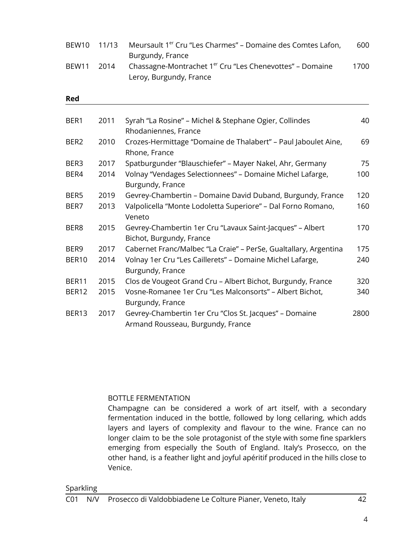| BEW10 11/13 |       | Meursault 1 <sup>er</sup> Cru "Les Charmes" – Domaine des Comtes Lafon, | 600  |
|-------------|-------|-------------------------------------------------------------------------|------|
|             |       | Burgundy, France                                                        |      |
| BEW11       | -2014 | Chassagne-Montrachet 1 <sup>er</sup> Cru "Les Chenevottes" – Domaine    | 1700 |
|             |       | Leroy, Burgundy, France                                                 |      |

#### **Red**

| BER1             | 2011 | Syrah "La Rosine" - Michel & Stephane Ogier, Collindes                                      | 40   |
|------------------|------|---------------------------------------------------------------------------------------------|------|
|                  |      | Rhodaniennes, France                                                                        |      |
| BER <sub>2</sub> | 2010 | Crozes-Hermittage "Domaine de Thalabert" – Paul Jaboulet Aine,<br>Rhone, France             | 69   |
| BER3             | 2017 | Spatburgunder "Blauschiefer" - Mayer Nakel, Ahr, Germany                                    | 75   |
| BER4             | 2014 | Volnay "Vendages Selectionnees" - Domaine Michel Lafarge,<br>Burgundy, France               | 100  |
| BER5             | 2019 | Gevrey-Chambertin - Domaine David Duband, Burgundy, France                                  | 120  |
| BER7             | 2013 | Valpolicella "Monte Lodoletta Superiore" - Dal Forno Romano,<br>Veneto                      | 160  |
| BER8             | 2015 | Gevrey-Chambertin 1er Cru "Lavaux Saint-Jacques" - Albert<br>Bichot, Burgundy, France       | 170  |
| BER9             | 2017 | Cabernet Franc/Malbec "La Craie" - PerSe, Gualtallary, Argentina                            | 175  |
| BER10            | 2014 | Volnay 1er Cru "Les Caillerets" - Domaine Michel Lafarge,<br>Burgundy, France               | 240  |
| BER11            | 2015 | Clos de Vougeot Grand Cru - Albert Bichot, Burgundy, France                                 | 320  |
| BER12            | 2015 | Vosne-Romanee 1er Cru "Les Malconsorts" - Albert Bichot,<br>Burgundy, France                | 340  |
| BER13            | 2017 | Gevrey-Chambertin 1er Cru "Clos St. Jacques" - Domaine<br>Armand Rousseau, Burgundy, France | 2800 |

#### BOTTLE FERMENTATION

Champagne can be considered a work of art itself, with a secondary fermentation induced in the bottle, followed by long cellaring, which adds layers and layers of complexity and flavour to the wine. France can no longer claim to be the sole protagonist of the style with some fine sparklers emerging from especially the South of England. Italy's Prosecco, on the other hand, is a feather light and joyful apéritif produced in the hills close to Venice.

#### Sparkling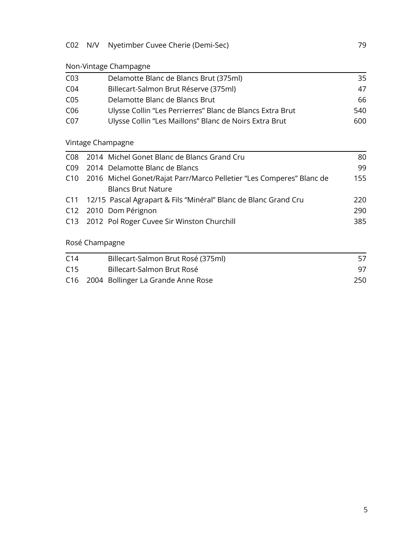## C02 N/V Nyetimber Cuvee Cherie (Demi-Sec) 79

## Non-Vintage Champagne

| CO <sub>3</sub> | Delamotte Blanc de Blancs Brut (375ml)                    | 35  |
|-----------------|-----------------------------------------------------------|-----|
| CO <sub>4</sub> | Billecart-Salmon Brut Réserve (375ml)                     | 47  |
| CO <sub>5</sub> | Delamotte Blanc de Blancs Brut                            | 66  |
| C <sub>06</sub> | Ulysse Collin "Les Perrierres" Blanc de Blancs Extra Brut | 540 |
| C <sub>07</sub> | Ulysse Collin "Les Maillons" Blanc de Noirs Extra Brut    | 600 |

## Vintage Champagne

| C08 2014 Michel Gonet Blanc de Blancs Grand Cru                          | 80  |
|--------------------------------------------------------------------------|-----|
| C09 2014 Delamotte Blanc de Blancs                                       | 99  |
| C10 2016 Michel Gonet/Rajat Parr/Marco Pelletier "Les Comperes" Blanc de | 155 |
| <b>Blancs Brut Nature</b>                                                |     |
| C11 12/15 Pascal Agrapart & Fils "Minéral" Blanc de Blanc Grand Cru      | 220 |
| C12 2010 Dom Pérignon                                                    | 290 |
| C13 2012 Pol Roger Cuvee Sir Winston Churchill                           | 385 |
|                                                                          |     |
|                                                                          |     |

## Rosé Champagne

| C <sub>14</sub> | Billecart-Salmon Brut Rosé (375ml)     |     |
|-----------------|----------------------------------------|-----|
| C <sub>15</sub> | Billecart-Salmon Brut Rosé             |     |
|                 | C16 2004 Bollinger La Grande Anne Rose | 250 |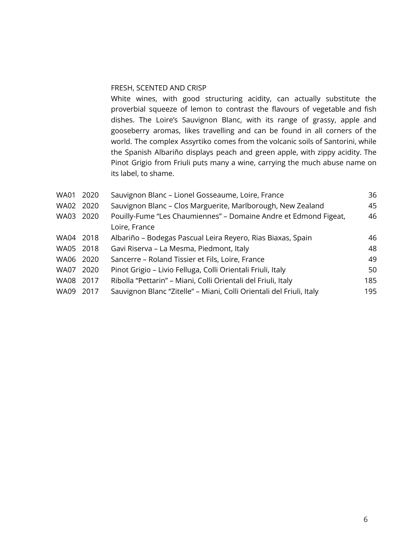#### FRESH, SCENTED AND CRISP

White wines, with good structuring acidity, can actually substitute the proverbial squeeze of lemon to contrast the flavours of vegetable and fish dishes. The Loire's Sauvignon Blanc, with its range of grassy, apple and gooseberry aromas, likes travelling and can be found in all corners of the world. The complex Assyrtiko comes from the volcanic soils of Santorini, while the Spanish Albariño displays peach and green apple, with zippy acidity. The Pinot Grigio from Friuli puts many a wine, carrying the much abuse name on its label, to shame.

| <b>WA01</b> | 2020 | Sauvignon Blanc - Lionel Gosseaume, Loire, France                    | 36  |
|-------------|------|----------------------------------------------------------------------|-----|
| <b>WA02</b> | 2020 | Sauvignon Blanc - Clos Marguerite, Marlborough, New Zealand          | 45  |
| WA03 2020   |      | Pouilly-Fume "Les Chaumiennes" - Domaine Andre et Edmond Figeat,     | 46  |
|             |      | Loire, France                                                        |     |
| WA04 2018   |      | Albariño – Bodegas Pascual Leira Reyero, Rias Biaxas, Spain          | 46  |
| WA05 2018   |      | Gavi Riserva - La Mesma, Piedmont, Italy                             | 48  |
| WA06 2020   |      | Sancerre – Roland Tissier et Fils, Loire, France                     | 49  |
| <b>WA07</b> | 2020 | Pinot Grigio - Livio Felluga, Colli Orientali Friuli, Italy          | 50  |
| WA08 2017   |      | Ribolla "Pettarin" - Miani, Colli Orientali del Friuli, Italy        | 185 |
| WA09 2017   |      | Sauvignon Blanc "Zitelle" - Miani, Colli Orientali del Friuli, Italy | 195 |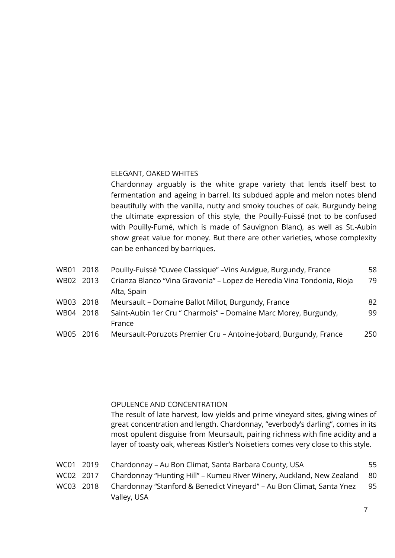#### ELEGANT, OAKED WHITES

Chardonnay arguably is the white grape variety that lends itself best to fermentation and ageing in barrel. Its subdued apple and melon notes blend beautifully with the vanilla, nutty and smoky touches of oak. Burgundy being the ultimate expression of this style, the Pouilly-Fuissé (not to be confused with Pouilly-Fumé, which is made of Sauvignon Blanc), as well as St.-Aubin show great value for money. But there are other varieties, whose complexity can be enhanced by barriques.

| WB01        | 2018   | Pouilly-Fuissé "Cuvee Classique" - Vins Auvigue, Burgundy, France      | 58  |
|-------------|--------|------------------------------------------------------------------------|-----|
| WB02 2013   |        | Crianza Blanco "Vina Gravonia" – Lopez de Heredia Vina Tondonia, Rioja | 79  |
|             |        | Alta, Spain                                                            |     |
| WB03        | 2018   | Meursault - Domaine Ballot Millot, Burgundy, France                    | 82  |
| WB04        | 2018   | Saint-Aubin 1er Cru " Charmois" – Domaine Marc Morey, Burgundy,        | 99  |
|             |        | France                                                                 |     |
| <b>WB05</b> | - 2016 | Meursault-Poruzots Premier Cru - Antoine-Jobard, Burgundy, France      | 250 |

#### OPULENCE AND CONCENTRATION

The result of late harvest, low yields and prime vineyard sites, giving wines of great concentration and length. Chardonnay, "everbody's darling", comes in its most opulent disguise from Meursault, pairing richness with fine acidity and a layer of toasty oak, whereas Kistler's Noisetiers comes very close to this style.

|  | WC01   2019       Chardonnay – Au Bon Climat, Santa Barbara County, USA            | 55   |
|--|------------------------------------------------------------------------------------|------|
|  | WC02 2017 Chardonnay "Hunting Hill" – Kumeu River Winery, Auckland, New Zealand 80 |      |
|  | WC03 2018  Chardonnay "Stanford & Benedict Vineyard" – Au Bon Climat, Santa Ynez   | - 95 |
|  | Valley, USA                                                                        |      |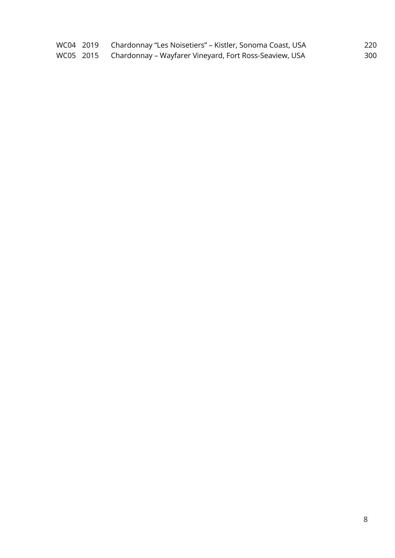|  | WC04 2019 Chardonnay "Les Noisetiers" – Kistler, Sonoma Coast, USA | 220 |
|--|--------------------------------------------------------------------|-----|
|  | WC05 2015 Chardonnay – Wayfarer Vineyard, Fort Ross-Seaview, USA   | 300 |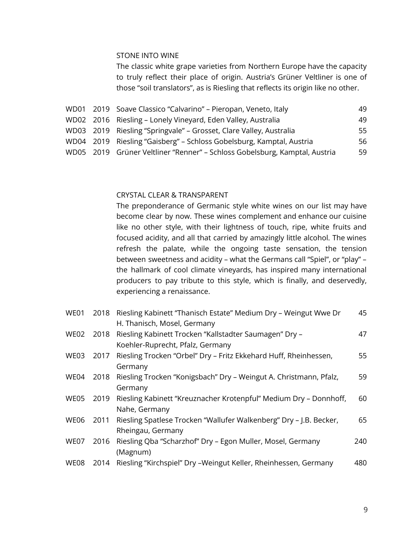#### STONE INTO WINE

The classic white grape varieties from Northern Europe have the capacity to truly reflect their place of origin. Austria's Grüner Veltliner is one of those "soil translators", as is Riesling that reflects its origin like no other.

|  | 49                                                                                                                                                                                                                                                                                                                                                         |
|--|------------------------------------------------------------------------------------------------------------------------------------------------------------------------------------------------------------------------------------------------------------------------------------------------------------------------------------------------------------|
|  | 49                                                                                                                                                                                                                                                                                                                                                         |
|  | 55                                                                                                                                                                                                                                                                                                                                                         |
|  | 56                                                                                                                                                                                                                                                                                                                                                         |
|  | 59                                                                                                                                                                                                                                                                                                                                                         |
|  | WD01 2019 Soave Classico "Calvarino" – Pieropan, Veneto, Italy<br>WD02 2016 Riesling - Lonely Vineyard, Eden Valley, Australia<br>WD03 2019 Riesling "Springvale" - Grosset, Clare Valley, Australia<br>WD04 2019 Riesling "Gaisberg" - Schloss Gobelsburg, Kamptal, Austria<br>WD05 2019 Grüner Veltliner "Renner" – Schloss Gobelsburg, Kamptal, Austria |

#### CRYSTAL CLEAR & TRANSPARENT

The preponderance of Germanic style white wines on our list may have become clear by now. These wines complement and enhance our cuisine like no other style, with their lightness of touch, ripe, white fruits and focused acidity, and all that carried by amazingly little alcohol. The wines refresh the palate, while the ongoing taste sensation, the tension between sweetness and acidity – what the Germans call "Spiel", or "play" – the hallmark of cool climate vineyards, has inspired many international producers to pay tribute to this style, which is finally, and deservedly, experiencing a renaissance.

| WE01        | 2018 | Riesling Kabinett "Thanisch Estate" Medium Dry - Weingut Wwe Dr    | 45  |
|-------------|------|--------------------------------------------------------------------|-----|
|             |      | H. Thanisch, Mosel, Germany                                        |     |
| <b>WE02</b> | 2018 | Riesling Kabinett Trocken "Kallstadter Saumagen" Dry -             | 47  |
|             |      | Koehler-Ruprecht, Pfalz, Germany                                   |     |
| WE03        | 2017 | Riesling Trocken "Orbel" Dry - Fritz Ekkehard Huff, Rheinhessen,   | 55  |
|             |      | Germany                                                            |     |
| WE04        | 2018 | Riesling Trocken "Konigsbach" Dry - Weingut A. Christmann, Pfalz,  | 59  |
|             |      | Germany                                                            |     |
| WE05        | 2019 | Riesling Kabinett "Kreuznacher Krotenpful" Medium Dry - Donnhoff,  | 60  |
|             |      | Nahe, Germany                                                      |     |
| WE06        | 2011 | Riesling Spatlese Trocken "Wallufer Walkenberg" Dry - J.B. Becker, | 65  |
|             |      | Rheingau, Germany                                                  |     |
| WE07        | 2016 | Riesling Qba "Scharzhof" Dry - Egon Muller, Mosel, Germany         | 240 |
|             |      | (Magnum)                                                           |     |
| <b>WE08</b> | 2014 | Riesling "Kirchspiel" Dry - Weingut Keller, Rheinhessen, Germany   | 480 |
|             |      |                                                                    |     |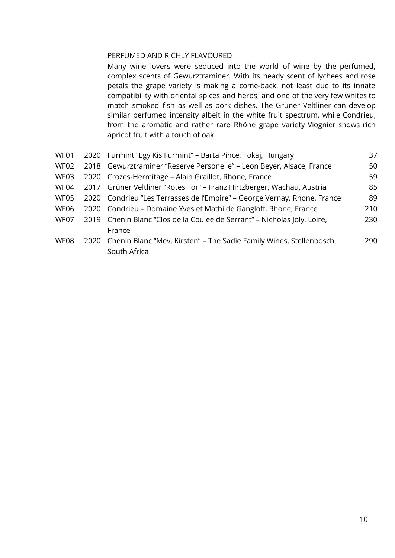#### PERFUMED AND RICHLY FLAVOURED

Many wine lovers were seduced into the world of wine by the perfumed, complex scents of Gewurztraminer. With its heady scent of lychees and rose petals the grape variety is making a come-back, not least due to its innate compatibility with oriental spices and herbs, and one of the very few whites to match smoked fish as well as pork dishes. The Grüner Veltliner can develop similar perfumed intensity albeit in the white fruit spectrum, while Condrieu, from the aromatic and rather rare Rhône grape variety Viognier shows rich apricot fruit with a touch of oak.

| WF01        | 2020 Furmint "Egy Kis Furmint" - Barta Pince, Tokaj, Hungary             | 37  |
|-------------|--------------------------------------------------------------------------|-----|
| WF02        | 2018 Gewurztraminer "Reserve Personelle" - Leon Beyer, Alsace, France    | 50  |
| WF03        | 2020 Crozes-Hermitage - Alain Graillot, Rhone, France                    | 59  |
| WF04        | 2017 Grüner Veltliner "Rotes Tor" - Franz Hirtzberger, Wachau, Austria   | 85  |
| WF05        | 2020 Condrieu "Les Terrasses de l'Empire" – George Vernay, Rhone, France | 89  |
| <b>WF06</b> | 2020 Condrieu – Domaine Yves et Mathilde Gangloff, Rhone, France         | 210 |
| WF07        | 2019 Chenin Blanc "Clos de la Coulee de Serrant" - Nicholas Joly, Loire, | 230 |
|             | France                                                                   |     |
| WF08        | 2020 Chenin Blanc "Mev. Kirsten" - The Sadie Family Wines, Stellenbosch, | 290 |
|             | South Africa                                                             |     |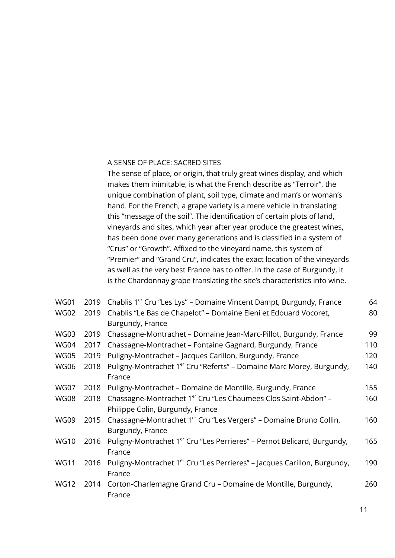#### A SENSE OF PLACE: SACRED SITES

The sense of place, or origin, that truly great wines display, and which makes them inimitable, is what the French describe as "Terroir", the unique combination of plant, soil type, climate and man's or woman's hand. For the French, a grape variety is a mere vehicle in translating this "message of the soil". The identification of certain plots of land, vineyards and sites, which year after year produce the greatest wines, has been done over many generations and is classified in a system of "Crus" or "Growth". Affixed to the vineyard name, this system of "Premier" and "Grand Cru", indicates the exact location of the vineyards as well as the very best France has to offer. In the case of Burgundy, it is the Chardonnay grape translating the site's characteristics into wine.

| <b>WG01</b> | 2019 | Chablis 1 <sup>er</sup> Cru "Les Lys" - Domaine Vincent Dampt, Burgundy, France      | 64  |
|-------------|------|--------------------------------------------------------------------------------------|-----|
| <b>WG02</b> | 2019 | Chablis "Le Bas de Chapelot" - Domaine Eleni et Edouard Vocoret,                     | 80  |
|             |      | Burgundy, France                                                                     |     |
| WG03        | 2019 | Chassagne-Montrachet - Domaine Jean-Marc-Pillot, Burgundy, France                    | 99  |
| WG04        | 2017 | Chassagne-Montrachet - Fontaine Gagnard, Burgundy, France                            | 110 |
| WG05        | 2019 | Puligny-Montrachet - Jacques Carillon, Burgundy, France                              | 120 |
| <b>WG06</b> | 2018 | Puligny-Montrachet 1 <sup>er</sup> Cru "Referts" – Domaine Marc Morey, Burgundy,     | 140 |
|             |      | France                                                                               |     |
| WG07        | 2018 | Puligny-Montrachet - Domaine de Montille, Burgundy, France                           | 155 |
| <b>WG08</b> | 2018 | Chassagne-Montrachet 1 <sup>er</sup> Cru "Les Chaumees Clos Saint-Abdon" -           | 160 |
|             |      | Philippe Colin, Burgundy, France                                                     |     |
| WG09        | 2015 | Chassagne-Montrachet 1 <sup>er</sup> Cru "Les Vergers" – Domaine Bruno Collin,       | 160 |
|             |      | Burgundy, France                                                                     |     |
| <b>WG10</b> | 2016 | Puligny-Montrachet 1 <sup>er</sup> Cru "Les Perrieres" – Pernot Belicard, Burgundy,  | 165 |
|             |      | France                                                                               |     |
| <b>WG11</b> | 2016 | Puligny-Montrachet 1 <sup>er</sup> Cru "Les Perrieres" - Jacques Carillon, Burgundy, | 190 |
|             |      | France                                                                               |     |
| <b>WG12</b> | 2014 | Corton-Charlemagne Grand Cru - Domaine de Montille, Burgundy,                        | 260 |
|             |      | France                                                                               |     |
|             |      |                                                                                      |     |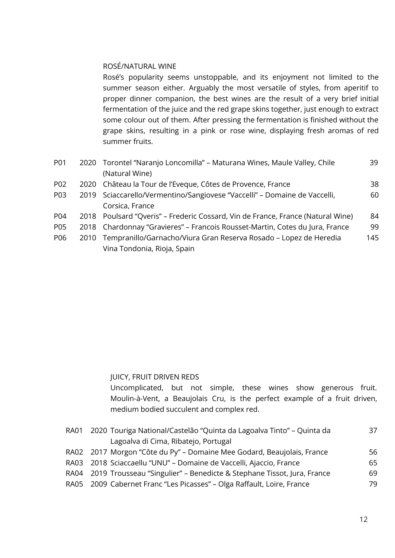#### ROSÉ/NATURAL WINE

Rosé's popularity seems unstoppable, and its enjoyment not limited to the summer season either. Arguably the most versatile of styles, from aperitif to proper dinner companion, the best wines are the result of a very brief initial fermentation of the juice and the red grape skins together, just enough to extract some colour out of them. After pressing the fermentation is finished without the grape skins, resulting in a pink or rose wine, displaying fresh aromas of red summer fruits.

| <b>P01</b> |      | 2020 Torontel "Naranjo Loncomilla" – Maturana Wines, Maule Valley, Chile        | 39  |
|------------|------|---------------------------------------------------------------------------------|-----|
|            |      | (Natural Wine)                                                                  |     |
| P02        | 2020 | Château la Tour de l'Eveque, Côtes de Provence, France                          | 38  |
| P03        |      | 2019 Sciaccarello/Vermentino/Sangiovese "Vaccelli" - Domaine de Vaccelli,       | 60  |
|            |      | Corsica, France                                                                 |     |
| P04        |      | 2018 Poulsard "Qveris" - Frederic Cossard, Vin de France, France (Natural Wine) | 84  |
| P05        |      | 2018 Chardonnay "Gravieres" - Francois Rousset-Martin, Cotes du Jura, France    | 99  |
| P06        | 2010 | Tempranillo/Garnacho/Viura Gran Reserva Rosado - Lopez de Heredia               | 145 |
|            |      | Vina Tondonia, Rioja, Spain                                                     |     |

#### JUICY, FRUIT DRIVEN REDS

Uncomplicated, but not simple, these wines show generous fruit. Moulin-à-Vent, a Beaujolais Cru, is the perfect example of a fruit driven, medium bodied succulent and complex red.

| RA01 2020 Touriga National/Castelão "Quinta da Lagoalva Tinto" – Quinta da  | 37 |
|-----------------------------------------------------------------------------|----|
| Lagoalva di Cima, Ribatejo, Portugal                                        |    |
| RA02 2017 Morgon "Côte du Py" - Domaine Mee Godard, Beaujolais, France      | 56 |
| RA03 2018 Sciaccaellu "UNU" – Domaine de Vaccelli, Ajaccio, France          | 65 |
| RA04 2019 Trousseau "Singulier" – Benedicte & Stephane Tissot, Jura, France | 69 |
| RA05 2009 Cabernet Franc "Les Picasses" – Olga Raffault, Loire, France      | 79 |
|                                                                             |    |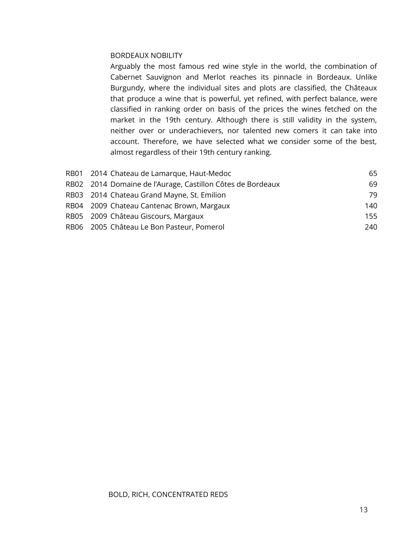#### BORDEAUX NOBILITY

Arguably the most famous red wine style in the world, the combination of Cabernet Sauvignon and Merlot reaches its pinnacle in Bordeaux. Unlike Burgundy, where the individual sites and plots are classified, the Châteaux that produce a wine that is powerful, yet refined, with perfect balance, were classified in ranking order on basis of the prices the wines fetched on the market in the 19th century. Although there is still validity in the system, neither over or underachievers, nor talented new comers it can take into account. Therefore, we have selected what we consider some of the best, almost regardless of their 19th century ranking.

| 65                                                                                                                                                                                                                                                                                     |
|----------------------------------------------------------------------------------------------------------------------------------------------------------------------------------------------------------------------------------------------------------------------------------------|
| 69                                                                                                                                                                                                                                                                                     |
| 79                                                                                                                                                                                                                                                                                     |
| 140                                                                                                                                                                                                                                                                                    |
| 155                                                                                                                                                                                                                                                                                    |
| 240                                                                                                                                                                                                                                                                                    |
| RB01 2014 Chateau de Lamarque, Haut-Medoc<br>RB02 2014 Domaine de l'Aurage, Castillon Côtes de Bordeaux<br>RB03 2014 Chateau Grand Mayne, St. Emilion<br>RB04 2009 Chateau Cantenac Brown, Margaux<br>RB05 2009 Château Giscours, Margaux<br>RB06 2005 Château Le Bon Pasteur, Pomerol |

#### BOLD, RICH, CONCENTRATED REDS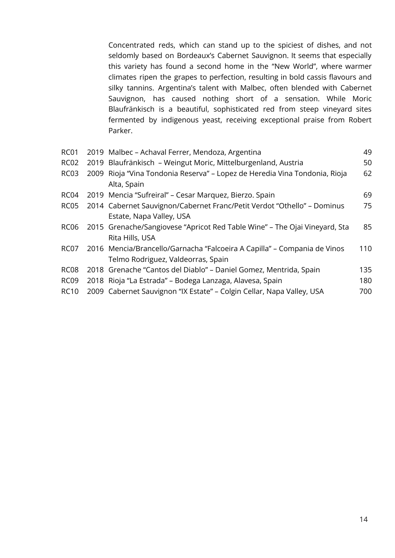Concentrated reds, which can stand up to the spiciest of dishes, and not seldomly based on Bordeaux's Cabernet Sauvignon. It seems that especially this variety has found a second home in the "New World", where warmer climates ripen the grapes to perfection, resulting in bold cassis flavours and silky tannins. Argentina's talent with Malbec, often blended with Cabernet Sauvignon, has caused nothing short of a sensation. While Moric Blaufränkisch is a beautiful, sophisticated red from steep vineyard sites fermented by indigenous yeast, receiving exceptional praise from Robert Parker.

| <b>RC01</b>      | 2019 Malbec - Achaval Ferrer, Mendoza, Argentina                           | 49  |
|------------------|----------------------------------------------------------------------------|-----|
| RC <sub>02</sub> | 2019 Blaufränkisch – Weingut Moric, Mittelburgenland, Austria              | 50  |
| <b>RC03</b>      | 2009 Rioja "Vina Tondonia Reserva" - Lopez de Heredia Vina Tondonia, Rioja | 62  |
|                  | Alta, Spain                                                                |     |
| RC <sub>04</sub> | 2019 Mencia "Sufreiral" - Cesar Marquez, Bierzo. Spain                     | 69  |
| RC <sub>05</sub> | 2014 Cabernet Sauvignon/Cabernet Franc/Petit Verdot "Othello" - Dominus    | 75  |
|                  | Estate, Napa Valley, USA                                                   |     |
| <b>RC06</b>      | 2015 Grenache/Sangiovese "Apricot Red Table Wine" - The Ojai Vineyard, Sta | 85  |
|                  | Rita Hills, USA                                                            |     |
| RC07             | 2016 Mencia/Brancello/Garnacha "Falcoeira A Capilla" – Compania de Vinos   | 110 |
|                  | Telmo Rodriguez, Valdeorras, Spain                                         |     |
| RC <sub>08</sub> | 2018 Grenache "Cantos del Diablo" – Daniel Gomez, Mentrida, Spain          | 135 |
| RC <sub>09</sub> | 2018 Rioja "La Estrada" - Bodega Lanzaga, Alavesa, Spain                   | 180 |
| <b>RC10</b>      | 2009 Cabernet Sauvignon "IX Estate" - Colgin Cellar, Napa Valley, USA      | 700 |
|                  |                                                                            |     |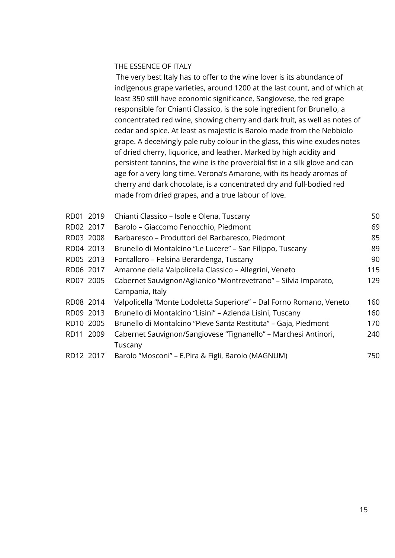#### THE ESSENCE OF ITALY

The very best Italy has to offer to the wine lover is its abundance of indigenous grape varieties, around 1200 at the last count, and of which at least 350 still have economic significance. Sangiovese, the red grape responsible for Chianti Classico, is the sole ingredient for Brunello, a concentrated red wine, showing cherry and dark fruit, as well as notes of cedar and spice. At least as majestic is Barolo made from the Nebbiolo grape. A deceivingly pale ruby colour in the glass, this wine exudes notes of dried cherry, liquorice, and leather. Marked by high acidity and persistent tannins, the wine is the proverbial fist in a silk glove and can age for a very long time. Verona's Amarone, with its heady aromas of cherry and dark chocolate, is a concentrated dry and full-bodied red made from dried grapes, and a true labour of love.

| RD01 2019 | Chianti Classico - Isole e Olena, Tuscany                           | 50  |
|-----------|---------------------------------------------------------------------|-----|
| RD02 2017 | Barolo – Giaccomo Fenocchio, Piedmont                               | 69  |
| RD03 2008 | Barbaresco – Produttori del Barbaresco, Piedmont                    | 85  |
| RD04 2013 | Brunello di Montalcino "Le Lucere" – San Filippo, Tuscany           | 89  |
| RD05 2013 | Fontalloro - Felsina Berardenga, Tuscany                            | 90  |
| RD06 2017 | Amarone della Valpolicella Classico - Allegrini, Veneto             | 115 |
| RD07 2005 | Cabernet Sauvignon/Aglianico "Montrevetrano" - Silvia Imparato,     | 129 |
|           | Campania, Italy                                                     |     |
| RD08 2014 | Valpolicella "Monte Lodoletta Superiore" - Dal Forno Romano, Veneto | 160 |
| RD09 2013 | Brunello di Montalcino "Lisini" - Azienda Lisini, Tuscany           | 160 |
| RD10 2005 | Brunello di Montalcino "Pieve Santa Restituta" – Gaja, Piedmont     | 170 |
| RD11 2009 | Cabernet Sauvignon/Sangiovese "Tignanello" - Marchesi Antinori,     | 240 |
|           | Tuscany                                                             |     |
| RD12 2017 | Barolo "Mosconi" – E.Pira & Figli, Barolo (MAGNUM)                  | 750 |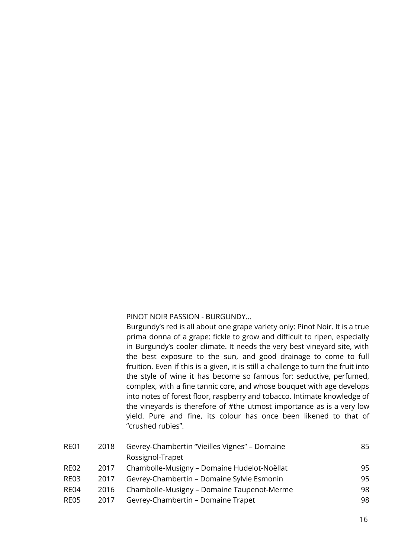PINOT NOIR PASSION - BURGUNDY...

Burgundy's red is all about one grape variety only: Pinot Noir. It is a true prima donna of a grape: fickle to grow and difficult to ripen, especially in Burgundy's cooler climate. It needs the very best vineyard site, with the best exposure to the sun, and good drainage to come to full fruition. Even if this is a given, it is still a challenge to turn the fruit into the style of wine it has become so famous for: seductive, perfumed, complex, with a fine tannic core, and whose bouquet with age develops into notes of forest floor, raspberry and tobacco. Intimate knowledge of the vineyards is therefore of #the utmost importance as is a very low yield. Pure and fine, its colour has once been likened to that of "crushed rubies".

| 95 |
|----|
| 95 |
| 98 |
| 98 |
|    |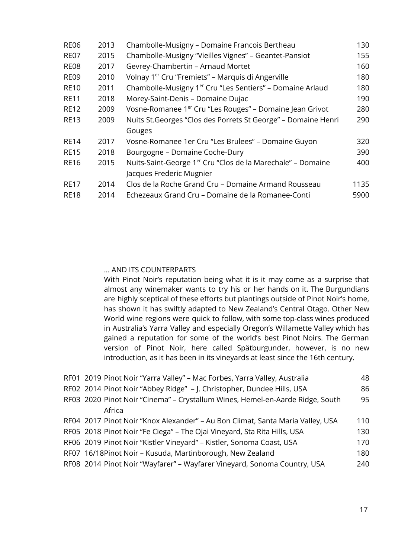| <b>RE06</b> | 2013 | Chambolle-Musigny - Domaine Francois Bertheau                           | 130  |
|-------------|------|-------------------------------------------------------------------------|------|
| <b>RE07</b> | 2015 | Chambolle-Musigny "Vieilles Vignes" - Geantet-Pansiot                   | 155  |
| <b>RE08</b> | 2017 | Gevrey-Chambertin - Arnaud Mortet                                       | 160  |
| <b>RE09</b> | 2010 | Volnay 1 <sup>er</sup> Cru "Fremiets" - Marquis di Angerville           | 180  |
| <b>RE10</b> | 2011 | Chambolle-Musigny 1 <sup>er</sup> Cru "Les Sentiers" - Domaine Arlaud   | 180  |
| <b>RE11</b> | 2018 | Morey-Saint-Denis - Domaine Dujac                                       | 190  |
| <b>RE12</b> | 2009 | Vosne-Romanee 1 <sup>er</sup> Cru "Les Rouges" - Domaine Jean Grivot    | 280  |
| <b>RE13</b> | 2009 | Nuits St. Georges "Clos des Porrets St George" - Domaine Henri          | 290  |
|             |      | Gouges                                                                  |      |
| <b>RE14</b> | 2017 | Vosne-Romanee 1er Cru "Les Brulees" - Domaine Guyon                     | 320  |
| <b>RE15</b> | 2018 | Bourgogne - Domaine Coche-Dury                                          | 390  |
| <b>RE16</b> | 2015 | Nuits-Saint-George 1 <sup>er</sup> Cru "Clos de la Marechale" – Domaine | 400  |
|             |      | Jacques Frederic Mugnier                                                |      |
| <b>RE17</b> | 2014 | Clos de la Roche Grand Cru - Domaine Armand Rousseau                    | 1135 |
| <b>RE18</b> | 2014 | Echezeaux Grand Cru - Domaine de la Romanee-Conti                       | 5900 |
|             |      |                                                                         |      |

#### ... AND ITS COUNTERPARTS

With Pinot Noir's reputation being what it is it may come as a surprise that almost any winemaker wants to try his or her hands on it. The Burgundians are highly sceptical of these efforts but plantings outside of Pinot Noir's home, has shown it has swiftly adapted to New Zealand's Central Otago. Other New World wine regions were quick to follow, with some top-class wines produced in Australia's Yarra Valley and especially Oregon's Willamette Valley which has gained a reputation for some of the world's best Pinot Noirs. The German version of Pinot Noir, here called Spätburgunder, however, is no new introduction, as it has been in its vineyards at least since the 16th century.

| RF01 2019 Pinot Noir "Yarra Valley" - Mac Forbes, Yarra Valley, Australia      | 48  |
|--------------------------------------------------------------------------------|-----|
| RF02 2014 Pinot Noir "Abbey Ridge" - J. Christopher, Dundee Hills, USA         | 86  |
| RF03 2020 Pinot Noir "Cinema" - Crystallum Wines, Hemel-en-Aarde Ridge, South  | 95  |
| Africa                                                                         |     |
| RF04 2017 Pinot Noir "Knox Alexander" - Au Bon Climat, Santa Maria Valley, USA | 110 |
| RF05 2018 Pinot Noir "Fe Ciega" - The Ojai Vineyard, Sta Rita Hills, USA       | 130 |
| RF06 2019 Pinot Noir "Kistler Vineyard" - Kistler, Sonoma Coast, USA           | 170 |
| RF07 16/18Pinot Noir - Kusuda, Martinborough, New Zealand                      | 180 |
| RF08 2014 Pinot Noir "Wayfarer" - Wayfarer Vineyard, Sonoma Country, USA       | 240 |
|                                                                                |     |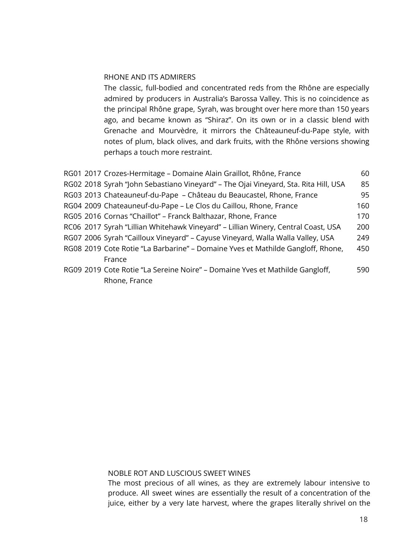#### RHONE AND ITS ADMIRERS

The classic, full-bodied and concentrated reds from the Rhône are especially admired by producers in Australia's Barossa Valley. This is no coincidence as the principal Rhône grape, Syrah, was brought over here more than 150 years ago, and became known as "Shiraz". On its own or in a classic blend with Grenache and Mourvèdre, it mirrors the Châteauneuf-du-Pape style, with notes of plum, black olives, and dark fruits, with the Rhône versions showing perhaps a touch more restraint.

|  | RG01 2017 Crozes-Hermitage - Domaine Alain Graillot, Rhône, France                  | 60  |
|--|-------------------------------------------------------------------------------------|-----|
|  | RG02 2018 Syrah "John Sebastiano Vineyard" - The Ojai Vineyard, Sta. Rita Hill, USA | 85  |
|  | RG03 2013 Chateauneuf-du-Pape - Château du Beaucastel, Rhone, France                | 95  |
|  | RG04 2009 Chateauneuf-du-Pape - Le Clos du Caillou, Rhone, France                   | 160 |
|  | RG05 2016 Cornas "Chaillot" - Franck Balthazar, Rhone, France                       | 170 |
|  | RC06 2017 Syrah "Lillian Whitehawk Vineyard" - Lillian Winery, Central Coast, USA   | 200 |
|  | RG07 2006 Syrah "Cailloux Vineyard" - Cayuse Vineyard, Walla Walla Valley, USA      | 249 |
|  | RG08 2019 Cote Rotie "La Barbarine" – Domaine Yves et Mathilde Gangloff, Rhone,     | 450 |
|  | France                                                                              |     |
|  | RG09 2019 Cote Rotie "La Sereine Noire" – Domaine Yves et Mathilde Gangloff,        | 590 |
|  | Rhone, France                                                                       |     |

#### NOBLE ROT AND LUSCIOUS SWEET WINES

The most precious of all wines, as they are extremely labour intensive to produce. All sweet wines are essentially the result of a concentration of the juice, either by a very late harvest, where the grapes literally shrivel on the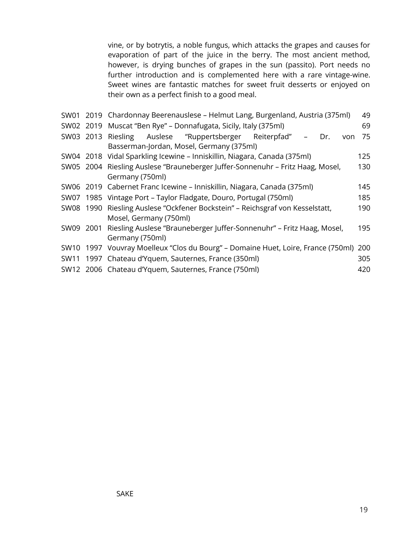vine, or by botrytis, a noble fungus, which attacks the grapes and causes for evaporation of part of the juice in the berry. The most ancient method, however, is drying bunches of grapes in the sun (passito). Port needs no further introduction and is complemented here with a rare vintage-wine. Sweet wines are fantastic matches for sweet fruit desserts or enjoyed on their own as a perfect finish to a good meal.

|  | SW01 2019 Chardonnay Beerenauslese - Helmut Lang, Burgenland, Austria (375ml)        | 49  |  |  |
|--|--------------------------------------------------------------------------------------|-----|--|--|
|  |                                                                                      |     |  |  |
|  | SW02 2019 Muscat "Ben Rye" - Donnafugata, Sicily, Italy (375ml)                      | 69  |  |  |
|  | SW03 2013 Riesling Auslese "Ruppertsberger Reiterpfad"<br>Dr.<br>von                 | 75  |  |  |
|  | Basserman-Jordan, Mosel, Germany (375ml)                                             |     |  |  |
|  | SW04 2018 Vidal Sparkling Icewine - Inniskillin, Niagara, Canada (375ml)             | 125 |  |  |
|  | SW05 2004 Riesling Auslese "Brauneberger Juffer-Sonnenuhr - Fritz Haag, Mosel,       | 130 |  |  |
|  | Germany (750ml)                                                                      |     |  |  |
|  | SW06 2019 Cabernet Franc Icewine - Inniskillin, Niagara, Canada (375ml)<br>145       |     |  |  |
|  | SW07 1985 Vintage Port - Taylor Fladgate, Douro, Portugal (750ml)<br>185             |     |  |  |
|  | SW08 1990 Riesling Auslese "Ockfener Bockstein" - Reichsgraf von Kesselstatt,        | 190 |  |  |
|  | Mosel, Germany (750ml)                                                               |     |  |  |
|  | SW09 2001 Riesling Auslese "Brauneberger Juffer-Sonnenuhr" - Fritz Haag, Mosel,      | 195 |  |  |
|  | Germany (750ml)                                                                      |     |  |  |
|  | SW10 1997 Vouvray Moelleux "Clos du Bourg" – Domaine Huet, Loire, France (750ml) 200 |     |  |  |
|  | SW11 1997 Chateau d'Yquem, Sauternes, France (350ml)                                 | 305 |  |  |
|  | SW12 2006 Chateau d'Yquem, Sauternes, France (750ml)                                 | 420 |  |  |
|  |                                                                                      |     |  |  |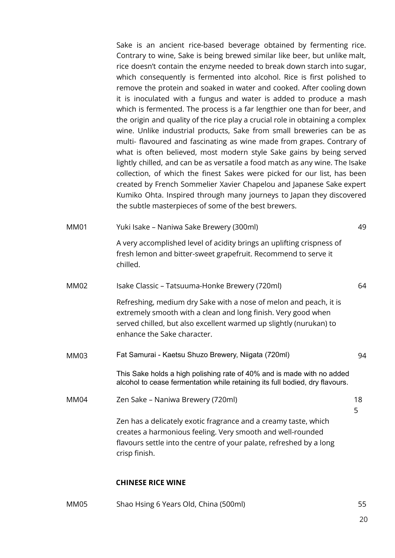Sake is an ancient rice-based beverage obtained by fermenting rice. Contrary to wine, Sake is being brewed similar like beer, but unlike malt, rice doesn't contain the enzyme needed to break down starch into sugar, which consequently is fermented into alcohol. Rice is first polished to remove the protein and soaked in water and cooked. After cooling down it is inoculated with a fungus and water is added to produce a mash which is fermented. The process is a far lengthier one than for beer, and the origin and quality of the rice play a crucial role in obtaining a complex wine. Unlike industrial products, Sake from small breweries can be as multi- flavoured and fascinating as wine made from grapes. Contrary of what is often believed, most modern style Sake gains by being served lightly chilled, and can be as versatile a food match as any wine. The Isake collection, of which the finest Sakes were picked for our list, has been created by French Sommelier Xavier Chapelou and Japanese Sake expert Kumiko Ohta. Inspired through many journeys to Japan they discovered the subtle masterpieces of some of the best brewers.

MM01 Yuki Isake – Naniwa Sake Brewery (300ml) 49 A very accomplished level of acidity brings an uplifting crispness of fresh lemon and bitter-sweet grapefruit. Recommend to serve it chilled. MM02 Isake Classic – Tatsuuma-Honke Brewery (720ml) 64 Refreshing, medium dry Sake with a nose of melon and peach, it is extremely smooth with a clean and long finish. Very good when served chilled, but also excellent warmed up slightly (nurukan) to enhance the Sake character. MM03 Fat Samurai - Kaetsu Shuzo Brewery, Niigata (720ml) 94 This Sake holds a high polishing rate of 40% and is made with no added alcohol to cease fermentation while retaining its full bodied, dry flavours. MM04 Zen Sake – Naniwa Brewery (720ml) 18 5 Zen has a delicately exotic fragrance and a creamy taste, which

creates a harmonious feeling. Very smooth and well-rounded flavours settle into the centre of your palate, refreshed by a long crisp finish.

#### **CHINESE RICE WINE**

MM05 Shao Hsing 6 Years Old, China (500ml) 55

20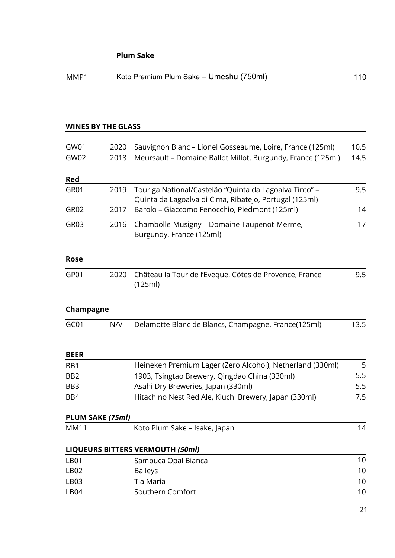#### **Plum Sake**

| MMP1 | Koto Premium Plum Sake - Umeshu (750ml) | 110 |
|------|-----------------------------------------|-----|
|------|-----------------------------------------|-----|

#### **WINES BY THE GLASS**

| GW01<br>GW02     | 2020<br>2018     | Sauvignon Blanc - Lionel Gosseaume, Loire, France (125ml)<br>Meursault - Domaine Ballot Millot, Burgundy, France (125ml) | 10.5<br>14.5 |
|------------------|------------------|--------------------------------------------------------------------------------------------------------------------------|--------------|
| Red              |                  |                                                                                                                          |              |
| GR01             | 2019             | Touriga National/Castelão "Quinta da Lagoalva Tinto" -<br>Quinta da Lagoalva di Cima, Ribatejo, Portugal (125ml)         | 9.5          |
| GR <sub>02</sub> | 2017             | Barolo - Giaccomo Fenocchio, Piedmont (125ml)                                                                            | 14           |
| GR03             | 2016             | Chambolle-Musigny - Domaine Taupenot-Merme,<br>Burgundy, France (125ml)                                                  | 17           |
| <b>Rose</b>      |                  |                                                                                                                          |              |
| GP01             | 2020             | Château la Tour de l'Eveque, Côtes de Provence, France<br>(125ml)                                                        | 9.5          |
| Champagne        |                  |                                                                                                                          |              |
| GC01             | N/V              | Delamotte Blanc de Blancs, Champagne, France(125ml)                                                                      | 13.5         |
| <b>BEER</b>      |                  |                                                                                                                          |              |
| BB1              |                  | Heineken Premium Lager (Zero Alcohol), Netherland (330ml)                                                                | 5            |
| BB <sub>2</sub>  |                  | 1903, Tsingtao Brewery, Qingdao China (330ml)                                                                            | 5.5          |
| BB <sub>3</sub>  |                  | Asahi Dry Breweries, Japan (330ml)                                                                                       | 5.5          |
| BB4              |                  | Hitachino Nest Red Ale, Kiuchi Brewery, Japan (330ml)                                                                    | 7.5          |
|                  | PLUM SAKE (75ml) |                                                                                                                          |              |
| <b>MM11</b>      |                  | Koto Plum Sake - Isake, Japan                                                                                            | 14           |
|                  |                  | <b>LIQUEURS BITTERS VERMOUTH (50ml)</b>                                                                                  |              |
| <b>LB01</b>      |                  | Sambuca Opal Bianca                                                                                                      | 10           |
| <b>LB02</b>      |                  | <b>Baileys</b>                                                                                                           | 10           |
| <b>LB03</b>      |                  | Tia Maria                                                                                                                | 10           |
| LB04             |                  | Southern Comfort                                                                                                         | 10           |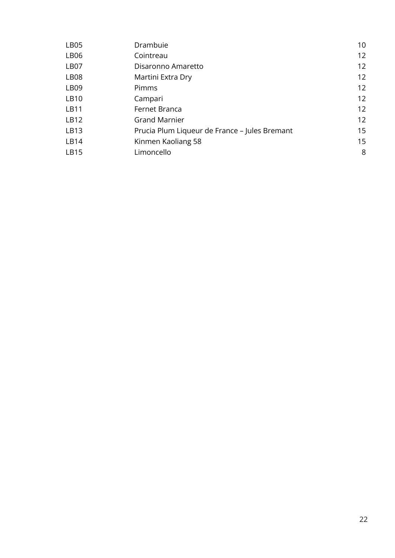| LB <sub>05</sub> | Drambuie                                      | 10 |
|------------------|-----------------------------------------------|----|
| LB <sub>06</sub> | Cointreau                                     | 12 |
| LB <sub>07</sub> | Disaronno Amaretto                            | 12 |
| LB <sub>08</sub> | Martini Extra Dry                             | 12 |
| LB <sub>09</sub> | Pimms                                         | 12 |
| LB10             | Campari                                       | 12 |
| LB11             | Fernet Branca                                 | 12 |
| LB12             | <b>Grand Marnier</b>                          | 12 |
| LB13             | Prucia Plum Liqueur de France – Jules Bremant | 15 |
| LB14             | Kinmen Kaoliang 58                            | 15 |
| LB15             | Limoncello                                    | 8  |
|                  |                                               |    |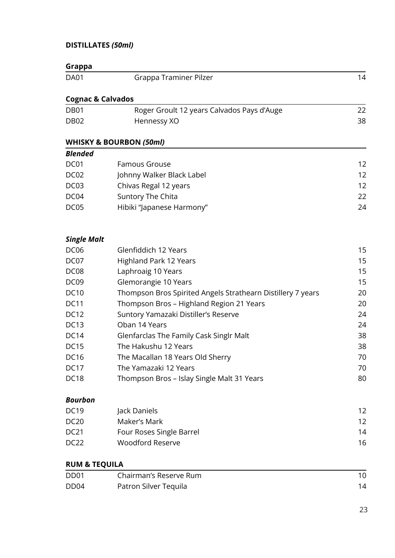## **DISTILLATES** *(50ml)*

| Grappa                       |                                                             |    |
|------------------------------|-------------------------------------------------------------|----|
| <b>DA01</b>                  | Grappa Traminer Pilzer                                      | 14 |
| <b>Cognac &amp; Calvados</b> |                                                             |    |
| DB <sub>01</sub>             | Roger Groult 12 years Calvados Pays d'Auge                  | 22 |
| <b>DB02</b>                  | Hennessy XO                                                 | 38 |
|                              | <b>WHISKY &amp; BOURBON (50ml)</b>                          |    |
| <b>Blended</b>               |                                                             |    |
| DC01                         | <b>Famous Grouse</b>                                        | 12 |
| DC <sub>02</sub>             | Johnny Walker Black Label                                   | 12 |
| DC <sub>03</sub>             | Chivas Regal 12 years                                       | 12 |
| DC04                         | Suntory The Chita                                           | 22 |
| DC05                         | Hibiki "Japanese Harmony"                                   | 24 |
| <b>Single Malt</b>           |                                                             |    |
| <b>DC06</b>                  | Glenfiddich 12 Years                                        | 15 |
| DC07                         | <b>Highland Park 12 Years</b>                               | 15 |
| DC <sub>08</sub>             | Laphroaig 10 Years                                          | 15 |
| DC <sub>09</sub>             | Glemorangie 10 Years                                        | 15 |
| <b>DC10</b>                  | Thompson Bros Spirited Angels Strathearn Distillery 7 years | 20 |
| <b>DC11</b>                  | Thompson Bros - Highland Region 21 Years                    | 20 |
| <b>DC12</b>                  | Suntory Yamazaki Distiller's Reserve                        | 24 |
| <b>DC13</b>                  | Oban 14 Years                                               | 24 |
| <b>DC14</b>                  | Glenfarclas The Family Cask Singlr Malt                     | 38 |
| <b>DC15</b>                  | The Hakushu 12 Years                                        | 38 |
| <b>DC16</b>                  | The Macallan 18 Years Old Sherry                            | 70 |
| <b>DC17</b>                  | The Yamazaki 12 Years                                       | 70 |
| DC <sub>18</sub>             | Thompson Bros - Islay Single Malt 31 Years                  | 80 |
| <b>Bourbon</b>               |                                                             |    |
| <b>DC19</b>                  | Jack Daniels                                                | 12 |
| <b>DC20</b>                  | Maker's Mark                                                | 12 |
| <b>DC21</b>                  | Four Roses Single Barrel                                    | 14 |
| DC <sub>22</sub>             | <b>Woodford Reserve</b>                                     | 16 |
| <b>RUM &amp; TEQUILA</b>     |                                                             |    |
| DD <sub>01</sub>             | Chairman's Reserve Rum                                      | 10 |
| DD <sub>04</sub>             | Patron Silver Tequila                                       | 14 |
|                              |                                                             |    |

23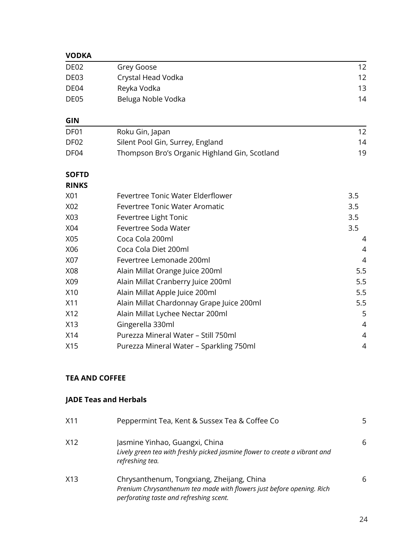## **VODKA**

| DE <sub>02</sub> | Grey Goose                                    | 12             |
|------------------|-----------------------------------------------|----------------|
| DE03             | Crystal Head Vodka                            | 12             |
| DE04             | Reyka Vodka                                   | 13             |
| DE05             | Beluga Noble Vodka                            | 14             |
| <b>GIN</b>       |                                               |                |
| DF01             | Roku Gin, Japan                               | 12             |
| DF <sub>02</sub> | Silent Pool Gin, Surrey, England              | 14             |
| DF04             | Thompson Bro's Organic Highland Gin, Scotland | 19             |
| <b>SOFTD</b>     |                                               |                |
| <b>RINKS</b>     |                                               |                |
| X01              | Fevertree Tonic Water Elderflower             | 3.5            |
| X02              | <b>Fevertree Tonic Water Aromatic</b>         | 3.5            |
| X03              | Fevertree Light Tonic                         | 3.5            |
| X04              | Fevertree Soda Water                          | 3.5            |
| X05              | Coca Cola 200ml                               | 4              |
| X06              | Coca Cola Diet 200ml                          | 4              |
| X07              | Fevertree Lemonade 200ml                      | 4              |
| X08              | Alain Millat Orange Juice 200ml               | 5.5            |
| X09              | Alain Millat Cranberry Juice 200ml            | 5.5            |
| X10              | Alain Millat Apple Juice 200ml                | 5.5            |
| X11              | Alain Millat Chardonnay Grape Juice 200ml     | 5.5            |
| X12              | Alain Millat Lychee Nectar 200ml              | 5              |
| X13              | Gingerella 330ml                              | $\overline{4}$ |
| X14              | Purezza Mineral Water - Still 750ml           | 4              |
| X15              | Purezza Mineral Water - Sparkling 750ml       | 4              |
|                  |                                               |                |

## **TEA AND COFFEE**

## **JADE Teas and Herbals**

| X11 | Peppermint Tea, Kent & Sussex Tea & Coffee Co                                                                                                                 | 5 |
|-----|---------------------------------------------------------------------------------------------------------------------------------------------------------------|---|
| X12 | Jasmine Yinhao, Guangxi, China<br>Lively green tea with freshly picked jasmine flower to create a vibrant and<br>refreshing tea.                              | 6 |
| X13 | Chrysanthenum, Tongxiang, Zheijang, China<br>Prenium Chrysanthenum tea made with flowers just before opening. Rich<br>perforating taste and refreshing scent. | 6 |